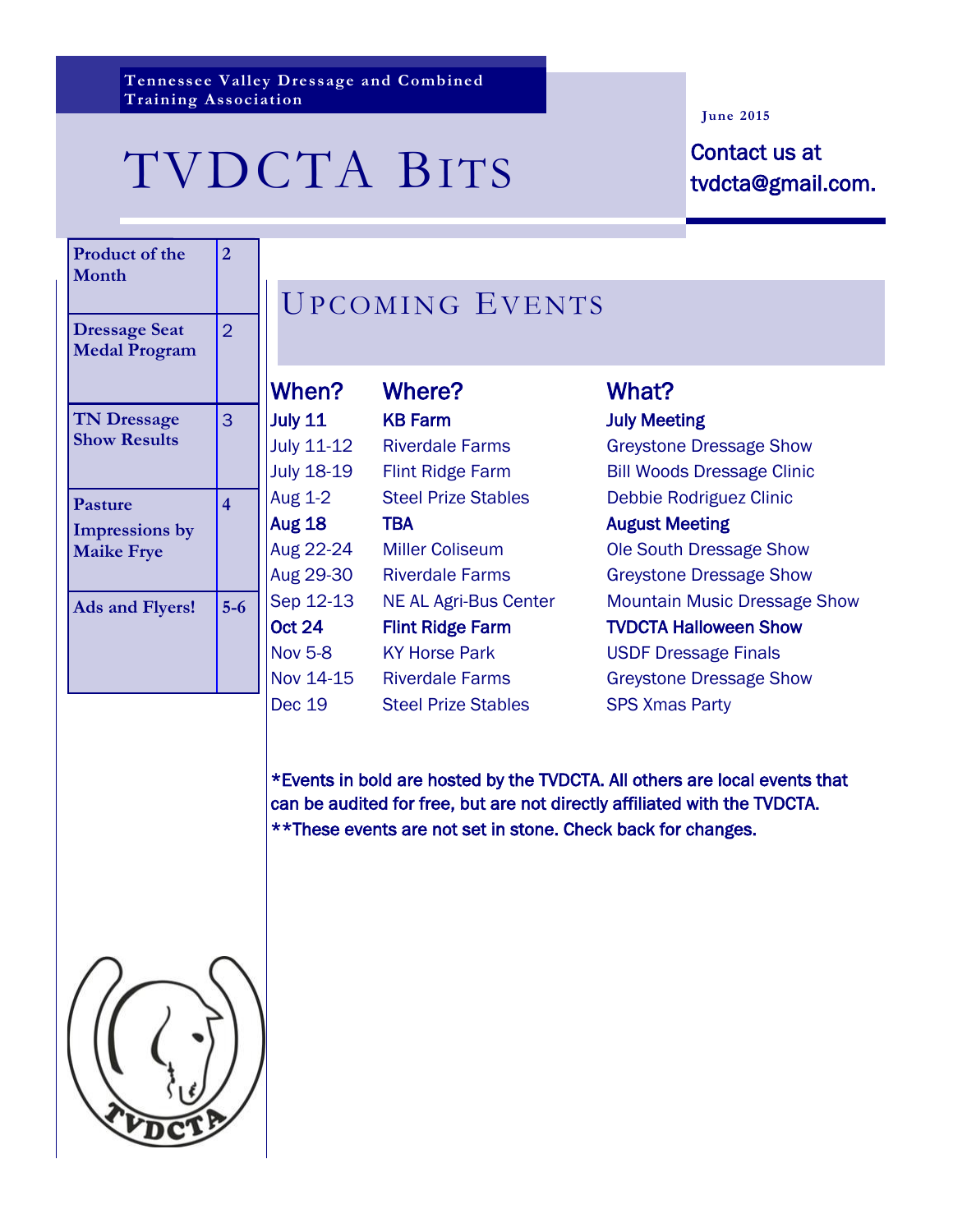**Tennessee Valley Dressage and Combined Training Association**

## TVDCTA BITS Contact us at

#### **June 2015**

tvdcta@gmail.com.

| <b>Product of the</b><br><b>Month</b>                        | 2              |  |
|--------------------------------------------------------------|----------------|--|
| <b>Dressage Seat</b><br><b>Medal Program</b>                 | $\overline{2}$ |  |
| <b>TN Dressage</b><br><b>Show Results</b>                    | 3              |  |
| <b>Pasture</b><br><b>Impressions</b> by<br><b>Maike Frye</b> | 4              |  |
| <b>Ads and Flyers!</b>                                       | $5-6$          |  |

### UPCOMING EVENTS

| When?             | Where?                       | What?                               |
|-------------------|------------------------------|-------------------------------------|
| <b>July 11</b>    | <b>KB Farm</b>               | <b>July Meeting</b>                 |
| <b>July 11-12</b> | <b>Riverdale Farms</b>       | <b>Greystone Dressage Show</b>      |
| <b>July 18-19</b> | <b>Flint Ridge Farm</b>      | <b>Bill Woods Dressage Clinic</b>   |
| Aug 1-2           | <b>Steel Prize Stables</b>   | Debbie Rodriguez Clinic             |
| <b>Aug 18</b>     | TBA                          | <b>August Meeting</b>               |
| Aug 22-24         | <b>Miller Coliseum</b>       | Ole South Dressage Show             |
| Aug 29-30         | <b>Riverdale Farms</b>       | <b>Greystone Dressage Show</b>      |
| Sep 12-13         | <b>NE AL Agri-Bus Center</b> | <b>Mountain Music Dressage Show</b> |
| <b>Oct 24</b>     | <b>Flint Ridge Farm</b>      | <b>TVDCTA Halloween Show</b>        |
| <b>Nov 5-8</b>    | <b>KY Horse Park</b>         | <b>USDF Dressage Finals</b>         |
| Nov 14-15         | <b>Riverdale Farms</b>       | <b>Greystone Dressage Show</b>      |
| <b>Dec 19</b>     | <b>Steel Prize Stables</b>   | <b>SPS Xmas Party</b>               |

\*Events in bold are hosted by the TVDCTA. All others are local events that can be audited for free, but are not directly affiliated with the TVDCTA. \*\*These events are not set in stone. Check back for changes.

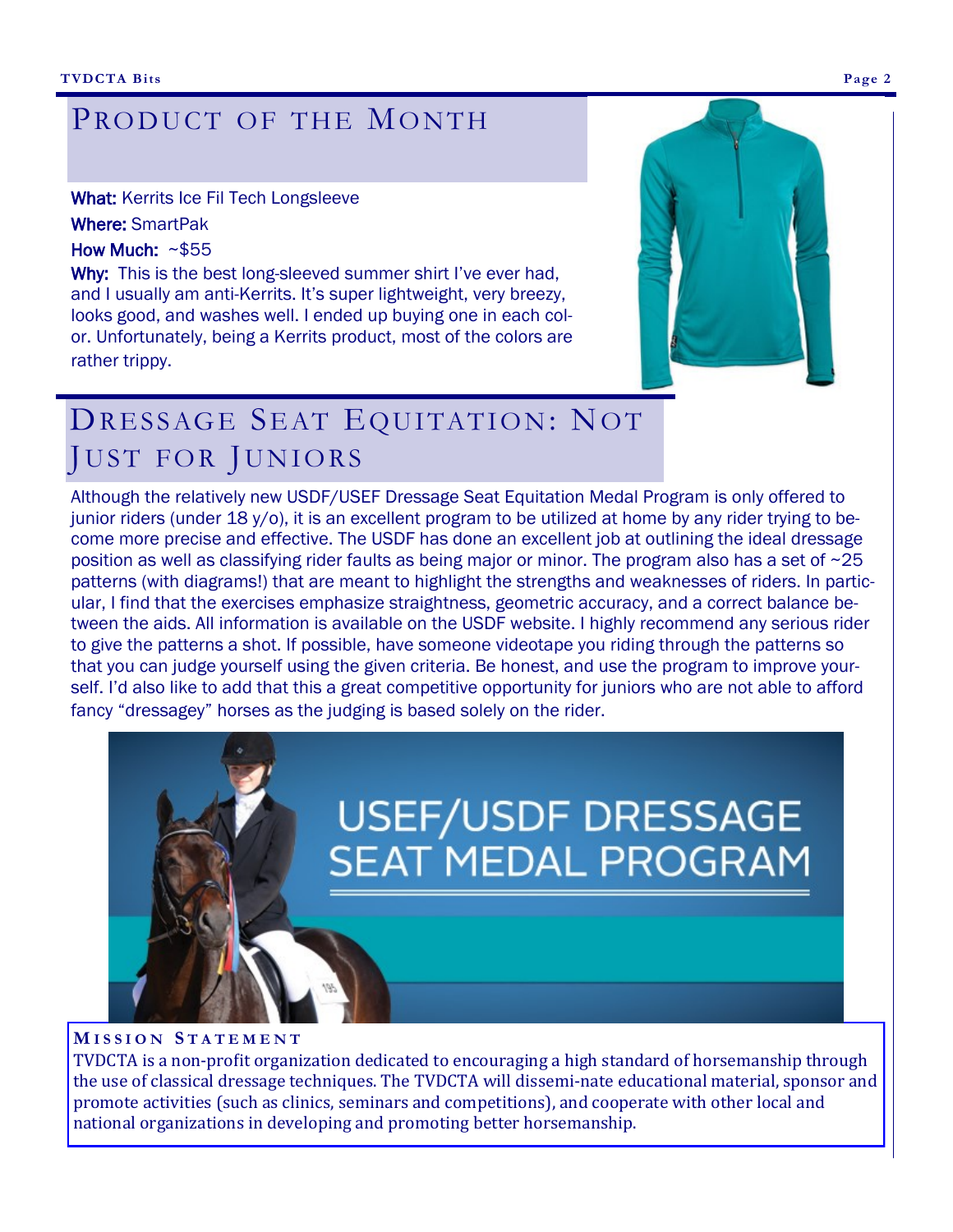### PRODUCT OF THE MONTH

What: Kerrits Ice Fil Tech Longsleeve

Where: SmartPak

How Much: ~\$55

Why: This is the best long-sleeved summer shirt I've ever had, and I usually am anti-Kerrits. It's super lightweight, very breezy, looks good, and washes well. I ended up buying one in each color. Unfortunately, being a Kerrits product, most of the colors are rather trippy.



### DRESSAGE SEAT EQUITATION: NOT JUST FOR JUNIORS

Although the relatively new USDF/USEF Dressage Seat Equitation Medal Program is only offered to junior riders (under 18 y/o), it is an excellent program to be utilized at home by any rider trying to become more precise and effective. The USDF has done an excellent job at outlining the ideal dressage position as well as classifying rider faults as being major or minor. The program also has a set of ~25 patterns (with diagrams!) that are meant to highlight the strengths and weaknesses of riders. In particular, I find that the exercises emphasize straightness, geometric accuracy, and a correct balance between the aids. All information is available on the USDF website. I highly recommend any serious rider to give the patterns a shot. If possible, have someone videotape you riding through the patterns so that you can judge yourself using the given criteria. Be honest, and use the program to improve yourself. I'd also like to add that this a great competitive opportunity for juniors who are not able to afford fancy "dressagey" horses as the judging is based solely on the rider.



#### **M I S S I O N S T A T E M E N T**

TVDCTA is a non-profit organization dedicated to encouraging a high standard of horsemanship through the use of classical dressage techniques. The TVDCTA will dissemi-nate educational material, sponsor and promote activities (such as clinics, seminars and competitions), and cooperate with other local and national organizations in developing and promoting better horsemanship.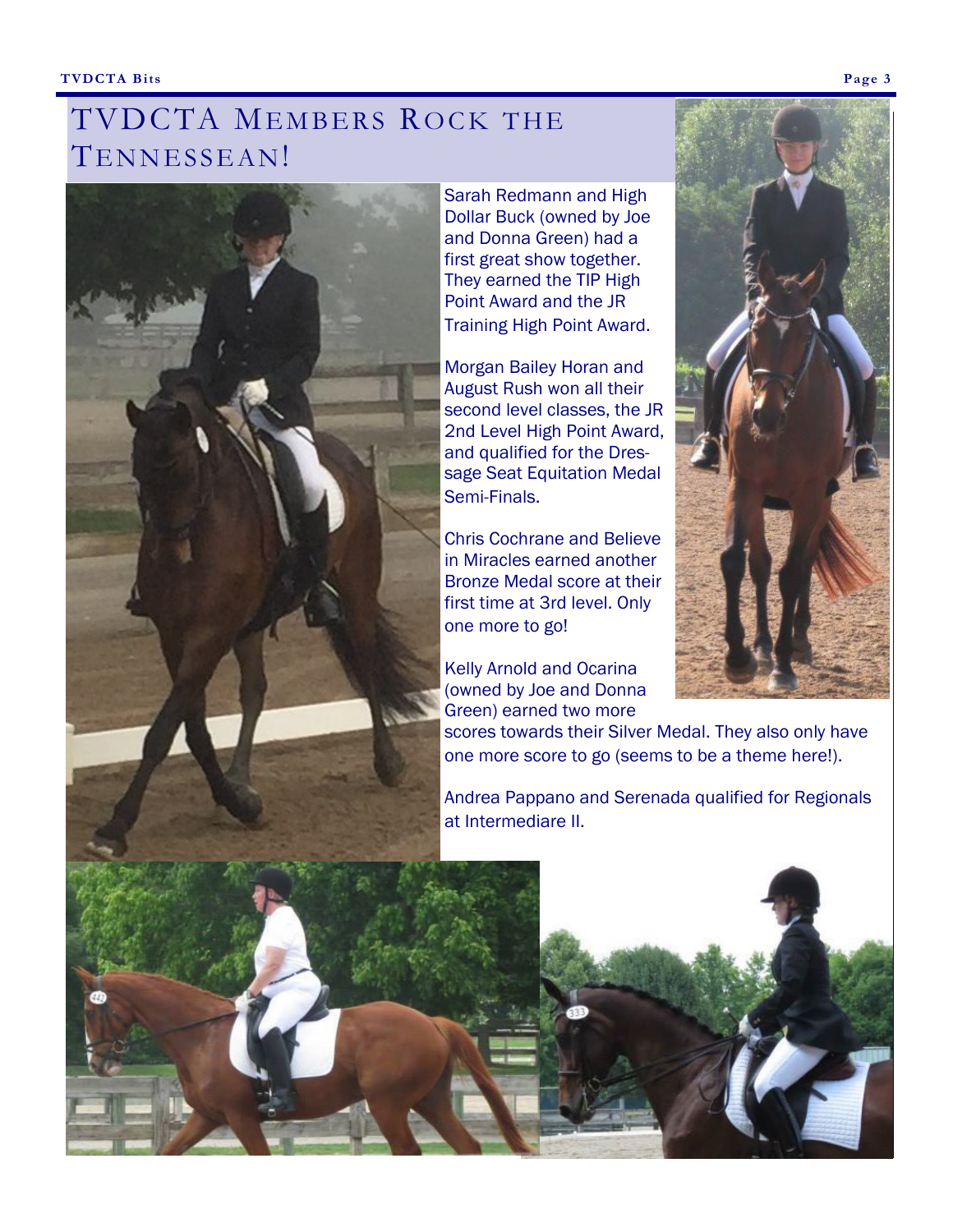#### **TVDCTA Bits Page 3**

### TVDCTA MEMBERS ROCK THE TENNESSEAN!



Sarah Redmann and High Dollar Buck (owned by Joe and Donna Green) had a first great show together. They earned the TIP High Point Award and the JR Training High Point Award.

Morgan Bailey Horan and August Rush won all their second level classes, the JR 2nd Level High Point Award, and qualified for the Dressage Seat Equitation Medal Semi-Finals.

Chris Cochrane and Believe in Miracles earned another Bronze Medal score at their first time at 3rd level. Only one more to go!

Kelly Arnold and Ocarina (owned by Joe and Donna Green) earned two more



scores towards their Silver Medal. They also only have one more score to go (seems to be a theme here!).

Andrea Pappano and Serenada qualified for Regionals at Intermediare II.

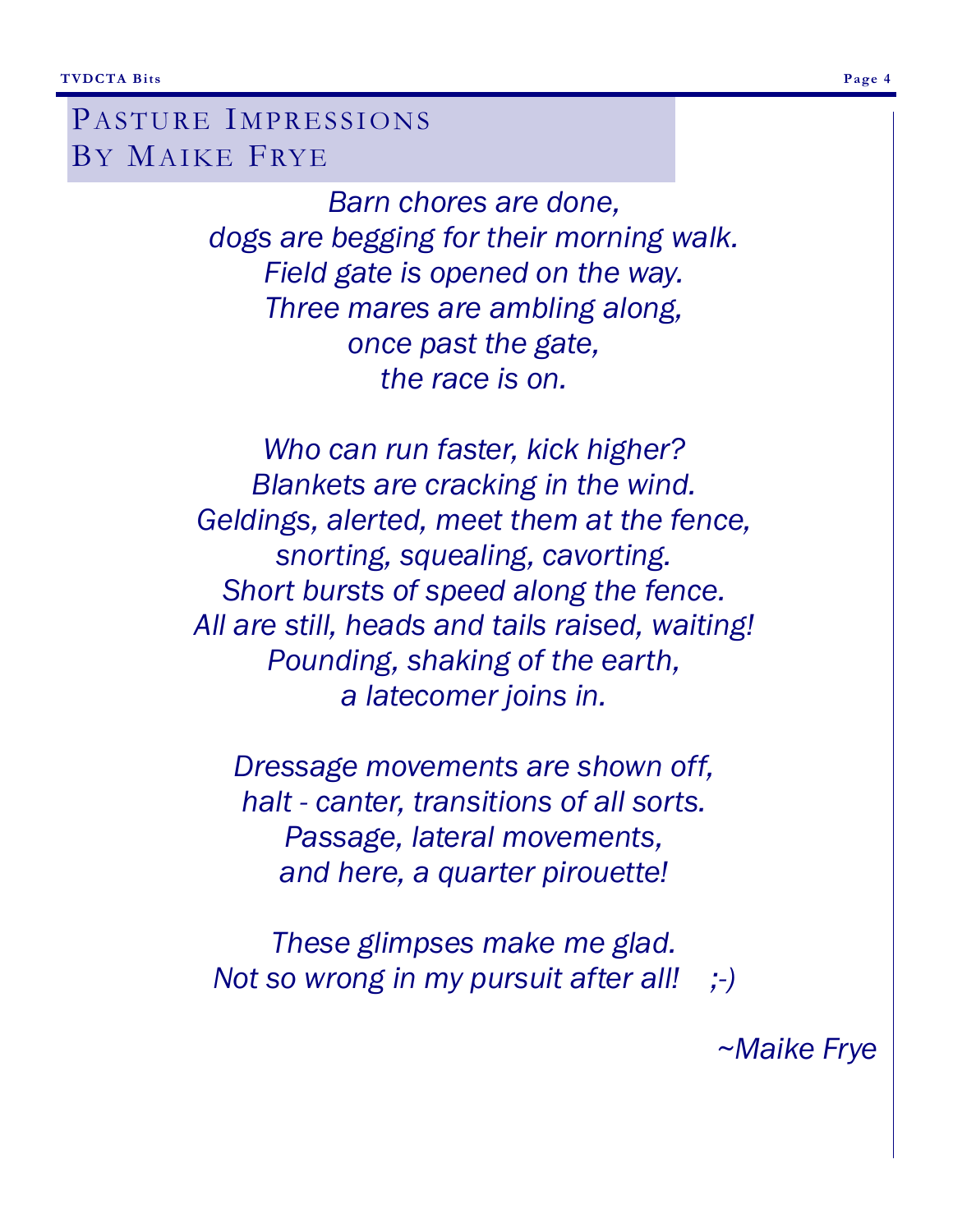PASTURE IMPRESSIONS BY MAIKE FRYE

> *Barn chores are done, dogs are begging for their morning walk. Field gate is opened on the way. Three mares are ambling along, once past the gate, the race is on.*

*Who can run faster, kick higher? Blankets are cracking in the wind. Geldings, alerted, meet them at the fence, snorting, squealing, cavorting. Short bursts of speed along the fence. All are still, heads and tails raised, waiting! Pounding, shaking of the earth, a latecomer joins in.*

*Dressage movements are shown off, halt - canter, transitions of all sorts. Passage, lateral movements, and here, a quarter pirouette!*

*These glimpses make me glad. Not so wrong in my pursuit after all! ;-)*

*~Maike Frye*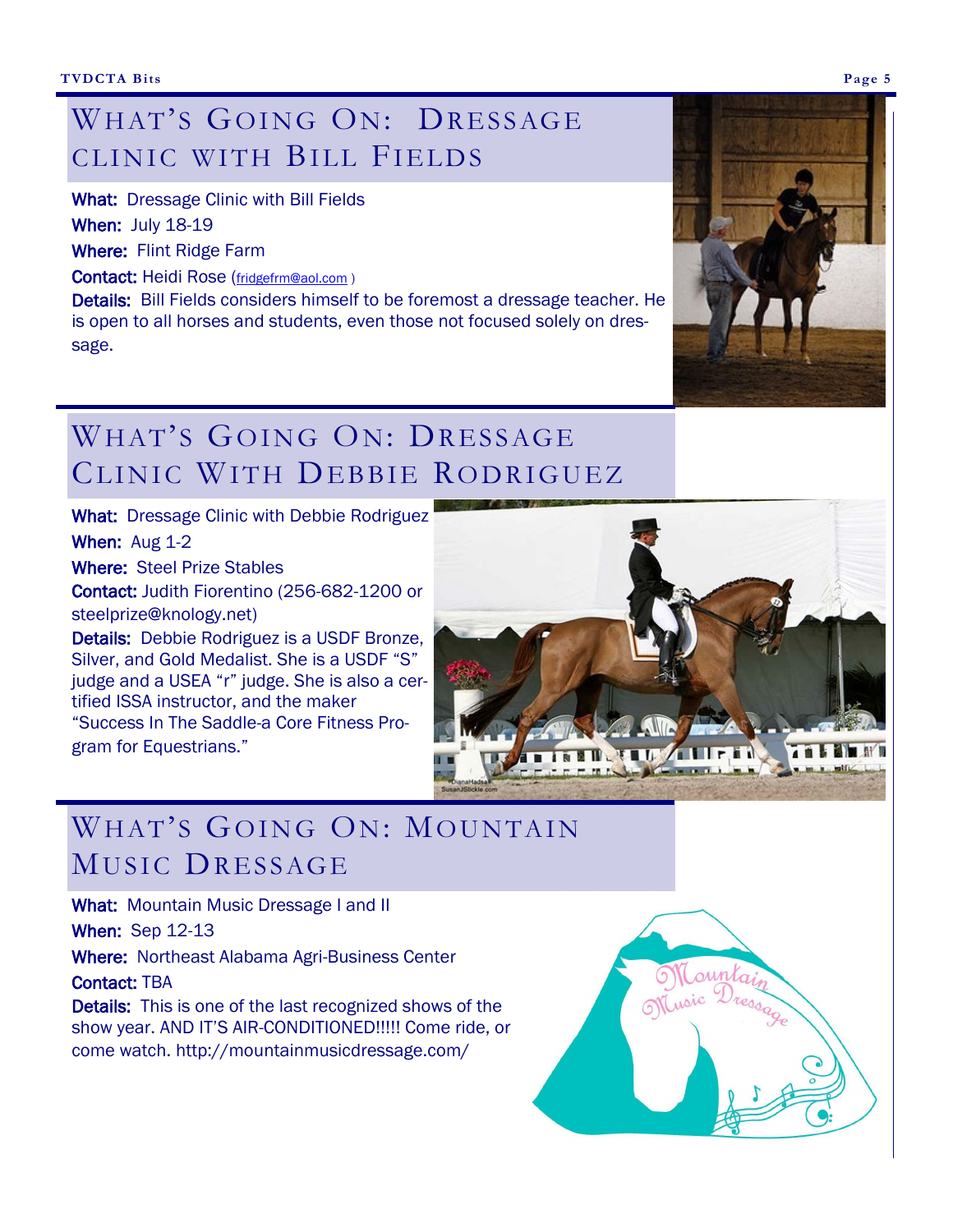### WHAT'S GOING ON: DRESSAGE CLINIC WITH BILL FIELDS

What: Dressage Clinic with Bill Fields

When: July 18-19

Where: Flint Ridge Farm

Contact: Heidi Rose ([fridgefrm@aol.com](mailto:fridgefrm@aol.com) )

Details: Bill Fields considers himself to be foremost a dressage teacher. He is open to all horses and students, even those not focused solely on dressage.

## WHAT'S GOING ON: DRESSAGE CLINIC WITH DEBBIE RODRIGUEZ

What: Dressage Clinic with Debbie Rodriguez

When: Aug 1-2

Where: Steel Prize Stables

Contact: Judith Fiorentino (256-682-1200 or steelprize@knology.net)

Details: Debbie Rodriguez is a USDF Bronze, Silver, and Gold Medalist. She is a USDF "S" judge and a USEA "r" judge. She is also a certified ISSA instructor, and the maker "Success In The Saddle-a Core Fitness Program for Equestrians."



#### WHAT'S GOING ON: MOUNTAIN MUSIC DRESSAGE

What: Mountain Music Dressage I and II

When: Sep 12-13

Where: Northeast Alabama Agri-Business Center

Contact: TBA

Details: This is one of the last recognized shows of the show year. AND IT'S AIR-CONDITIONED!!!!! Come ride, or come watch. http://mountainmusicdressage.com/